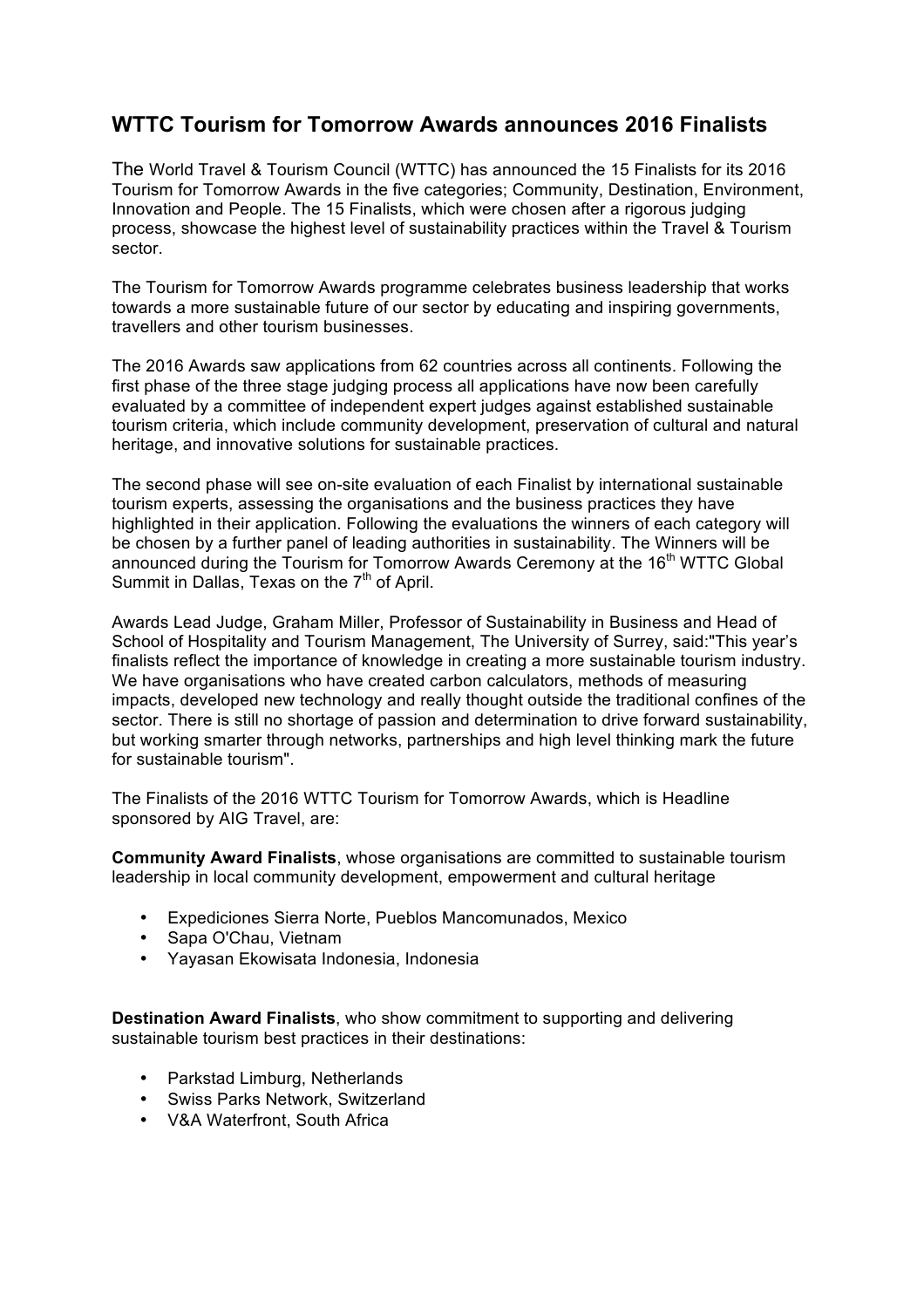## **WTTC Tourism for Tomorrow Awards announces 2016 Finalists**

The World Travel & Tourism Council (WTTC) has announced the 15 Finalists for its 2016 Tourism for Tomorrow Awards in the five categories; Community, Destination, Environment, Innovation and People. The 15 Finalists, which were chosen after a rigorous judging process, showcase the highest level of sustainability practices within the Travel & Tourism sector.

The Tourism for Tomorrow Awards programme celebrates business leadership that works towards a more sustainable future of our sector by educating and inspiring governments, travellers and other tourism businesses.

The 2016 Awards saw applications from 62 countries across all continents. Following the first phase of the three stage judging process all applications have now been carefully evaluated by a committee of independent expert judges against established sustainable tourism criteria, which include community development, preservation of cultural and natural heritage, and innovative solutions for sustainable practices.

The second phase will see on-site evaluation of each Finalist by international sustainable tourism experts, assessing the organisations and the business practices they have highlighted in their application. Following the evaluations the winners of each category will be chosen by a further panel of leading authorities in sustainability. The Winners will be announced during the Tourism for Tomorrow Awards Ceremony at the 16<sup>th</sup> WTTC Global Summit in Dallas, Texas on the  $7<sup>th</sup>$  of April.

Awards Lead Judge, Graham Miller, Professor of Sustainability in Business and Head of School of Hospitality and Tourism Management, The University of Surrey, said:"This year's finalists reflect the importance of knowledge in creating a more sustainable tourism industry. We have organisations who have created carbon calculators, methods of measuring impacts, developed new technology and really thought outside the traditional confines of the sector. There is still no shortage of passion and determination to drive forward sustainability, but working smarter through networks, partnerships and high level thinking mark the future for sustainable tourism".

The Finalists of the 2016 WTTC Tourism for Tomorrow Awards, which is Headline sponsored by AIG Travel, are:

**Community Award Finalists**, whose organisations are committed to sustainable tourism leadership in local community development, empowerment and cultural heritage

- Expediciones Sierra Norte, Pueblos Mancomunados, Mexico
- Sapa O'Chau, Vietnam
- Yayasan Ekowisata Indonesia, Indonesia

**Destination Award Finalists**, who show commitment to supporting and delivering sustainable tourism best practices in their destinations:

- Parkstad Limburg, Netherlands
- Swiss Parks Network, Switzerland
- V&A Waterfront, South Africa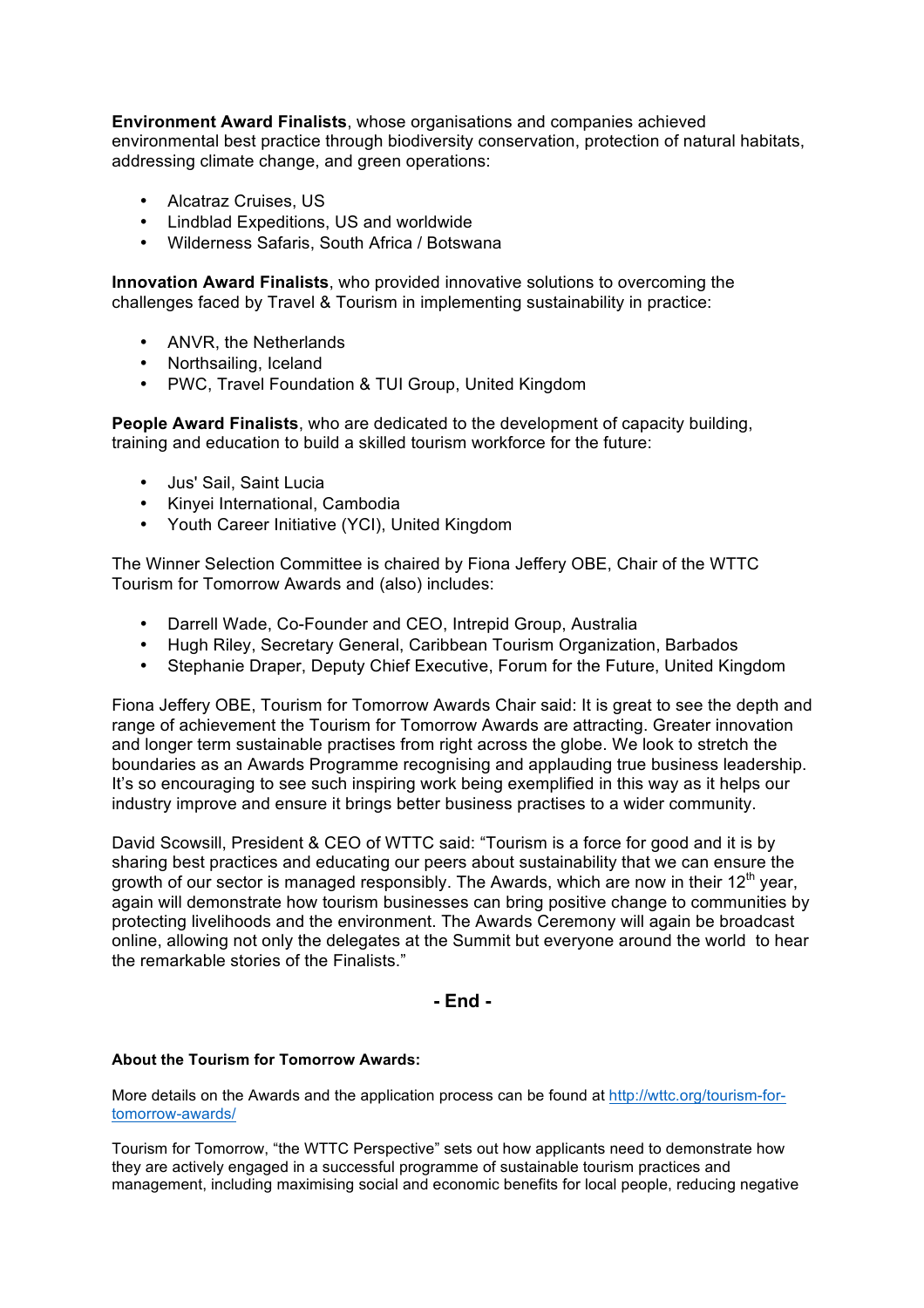**Environment Award Finalists**, whose organisations and companies achieved environmental best practice through biodiversity conservation, protection of natural habitats, addressing climate change, and green operations:

- Alcatraz Cruises, US
- Lindblad Expeditions, US and worldwide
- Wilderness Safaris, South Africa / Botswana

**Innovation Award Finalists**, who provided innovative solutions to overcoming the challenges faced by Travel & Tourism in implementing sustainability in practice:

- ANVR, the Netherlands
- Northsailing, Iceland
- PWC, Travel Foundation & TUI Group, United Kingdom

**People Award Finalists**, who are dedicated to the development of capacity building, training and education to build a skilled tourism workforce for the future:

- Jus' Sail, Saint Lucia
- Kinyei International, Cambodia
- Youth Career Initiative (YCI), United Kingdom

The Winner Selection Committee is chaired by Fiona Jeffery OBE, Chair of the WTTC Tourism for Tomorrow Awards and (also) includes:

- Darrell Wade, Co-Founder and CEO, Intrepid Group, Australia
- Hugh Riley, Secretary General, Caribbean Tourism Organization, Barbados
- Stephanie Draper, Deputy Chief Executive, Forum for the Future, United Kingdom

Fiona Jeffery OBE, Tourism for Tomorrow Awards Chair said: It is great to see the depth and range of achievement the Tourism for Tomorrow Awards are attracting. Greater innovation and longer term sustainable practises from right across the globe. We look to stretch the boundaries as an Awards Programme recognising and applauding true business leadership. It's so encouraging to see such inspiring work being exemplified in this way as it helps our industry improve and ensure it brings better business practises to a wider community.

David Scowsill, President & CEO of WTTC said: "Tourism is a force for good and it is by sharing best practices and educating our peers about sustainability that we can ensure the growth of our sector is managed responsibly. The Awards, which are now in their  $12<sup>th</sup>$  year, again will demonstrate how tourism businesses can bring positive change to communities by protecting livelihoods and the environment. The Awards Ceremony will again be broadcast online, allowing not only the delegates at the Summit but everyone around the world to hear the remarkable stories of the Finalists."

**- End -**

## **About the Tourism for Tomorrow Awards:**

More details on the Awards and the application process can be found at http://wttc.org/tourism-fortomorrow-awards/

Tourism for Tomorrow, "the WTTC Perspective" sets out how applicants need to demonstrate how they are actively engaged in a successful programme of sustainable tourism practices and management, including maximising social and economic benefits for local people, reducing negative